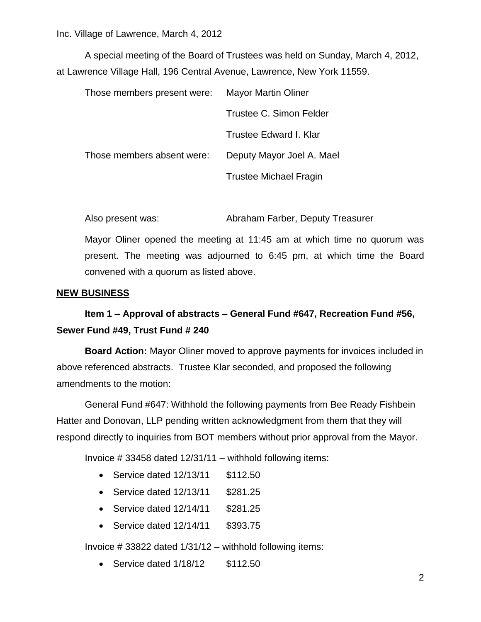Inc. Village of Lawrence, March 4, 2012

A special meeting of the Board of Trustees was held on Sunday, March 4, 2012, at Lawrence Village Hall, 196 Central Avenue, Lawrence, New York 11559.

| Those members present were: | <b>Mayor Martin Oliner</b>    |
|-----------------------------|-------------------------------|
|                             | Trustee C. Simon Felder       |
|                             | Trustee Edward I. Klar        |
| Those members absent were:  | Deputy Mayor Joel A. Mael     |
|                             | <b>Trustee Michael Fragin</b> |

Also present was: Abraham Farber, Deputy Treasurer

Mayor Oliner opened the meeting at 11:45 am at which time no quorum was present. The meeting was adjourned to 6:45 pm, at which time the Board convened with a quorum as listed above.

## **NEW BUSINESS**

## **Item 1 – Approval of abstracts – General Fund #647, Recreation Fund #56, Sewer Fund #49, Trust Fund # 240**

**Board Action:** Mayor Oliner moved to approve payments for invoices included in above referenced abstracts. Trustee Klar seconded, and proposed the following amendments to the motion:

General Fund #647: Withhold the following payments from Bee Ready Fishbein Hatter and Donovan, LLP pending written acknowledgment from them that they will respond directly to inquiries from BOT members without prior approval from the Mayor.

Invoice # 33458 dated 12/31/11 – withhold following items:

- Service dated 12/13/11 \$112.50
- Service dated 12/13/11 \$281.25
- Service dated 12/14/11 \$281.25
- Service dated 12/14/11 \$393.75

Invoice # 33822 dated 1/31/12 – withhold following items:

• Service dated 1/18/12 \$112.50